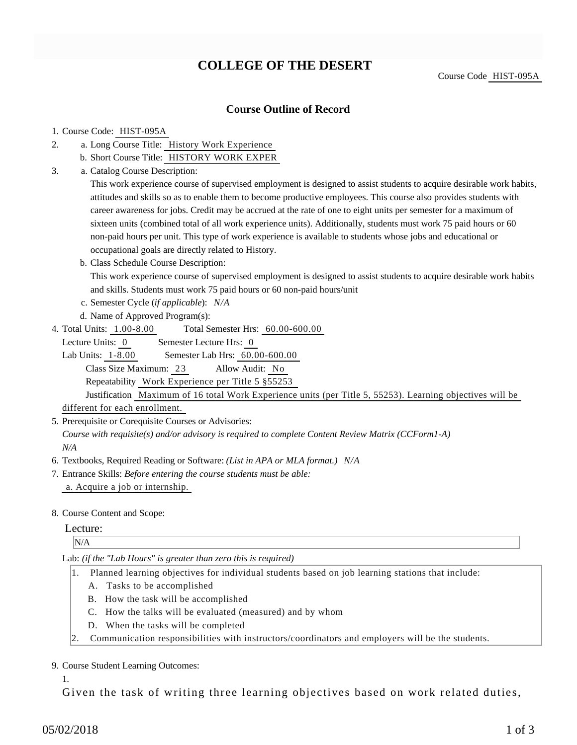# **COLLEGE OF THE DESERT**

Course Code HIST-095A

### **Course Outline of Record**

#### 1. Course Code: HIST-095A

- a. Long Course Title: History Work Experience 2.
	- b. Short Course Title: HISTORY WORK EXPER
- Catalog Course Description: a. 3.

This work experience course of supervised employment is designed to assist students to acquire desirable work habits, attitudes and skills so as to enable them to become productive employees. This course also provides students with career awareness for jobs. Credit may be accrued at the rate of one to eight units per semester for a maximum of sixteen units (combined total of all work experience units). Additionally, students must work 75 paid hours or 60 non-paid hours per unit. This type of work experience is available to students whose jobs and educational or occupational goals are directly related to History.

b. Class Schedule Course Description:

This work experience course of supervised employment is designed to assist students to acquire desirable work habits and skills. Students must work 75 paid hours or 60 non-paid hours/unit

- c. Semester Cycle (*if applicable*): *N/A*
- d. Name of Approved Program(s):
- Total Semester Hrs:  $60.00-600.00$ 4. Total Units: 1.00-8.00

Lecture Units: 0 Semester Lecture Hrs: 0

Lab Units: 1-8.00 Semester Lab Hrs: 60.00-600.00 Class Size Maximum: 23 Allow Audit: No Repeatability Work Experience per Title 5 §55253

Justification Maximum of 16 total Work Experience units (per Title 5, 55253). Learning objectives will be different for each enrollment.

5. Prerequisite or Corequisite Courses or Advisories:

*Course with requisite(s) and/or advisory is required to complete Content Review Matrix (CCForm1-A) N/A*

- 6. Textbooks, Required Reading or Software: *(List in APA or MLA format.) N/A*
- Entrance Skills: *Before entering the course students must be able:* 7. a. Acquire a job or internship.
- 8. Course Content and Scope:

#### Lecture:

N/A

Lab: *(if the "Lab Hours" is greater than zero this is required)*

- 1. Planned learning objectives for individual students based on job learning stations that include:
	- A. Tasks to be accomplished
	- B. How the task will be accomplished
	- C. How the talks will be evaluated (measured) and by whom
	- D. When the tasks will be completed
- 2. Communication responsibilities with instructors/coordinators and employers will be the students.

#### 9. Course Student Learning Outcomes:

1.

Given the task of writing three learning objectives based on work related duties,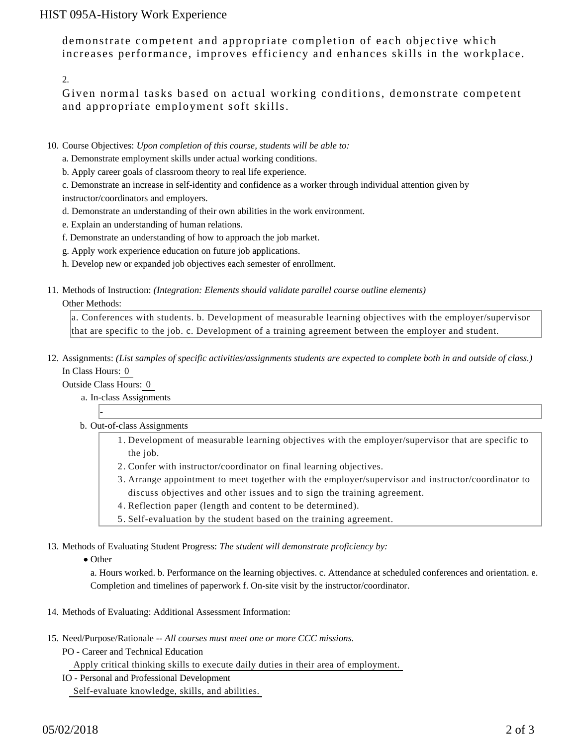## HIST 095A-History Work Experience

demonstrate competent and appropriate completion of each objective which increases performance, improves efficiency and enhances skills in the workplace.

2.

Given normal tasks based on actual working conditions, demonstrate competent and appropriate employment soft skills.

- 10. Course Objectives: Upon completion of this course, students will be able to:
	- a. Demonstrate employment skills under actual working conditions.
	- b. Apply career goals of classroom theory to real life experience.

c. Demonstrate an increase in self-identity and confidence as a worker through individual attention given by instructor/coordinators and employers.

- d. Demonstrate an understanding of their own abilities in the work environment.
- e. Explain an understanding of human relations.
- f. Demonstrate an understanding of how to approach the job market.
- g. Apply work experience education on future job applications.
- h. Develop new or expanded job objectives each semester of enrollment.
- 11. Methods of Instruction: *(Integration: Elements should validate parallel course outline elements)*

#### Other Methods:

a. Conferences with students. b. Development of measurable learning objectives with the employer/supervisor that are specific to the job. c. Development of a training agreement between the employer and student.

12. Assignments: (List samples of specific activities/assignments students are expected to complete both in and outside of class.) In Class Hours: 0

Outside Class Hours: 0

-

- a. In-class Assignments
- b. Out-of-class Assignments
	- 1. Development of measurable learning objectives with the employer/supervisor that are specific to the job.
	- 2. Confer with instructor/coordinator on final learning objectives.
	- Arrange appointment to meet together with the employer/supervisor and instructor/coordinator to 3. discuss objectives and other issues and to sign the training agreement.
	- 4. Reflection paper (length and content to be determined).
	- 5. Self-evaluation by the student based on the training agreement.

13. Methods of Evaluating Student Progress: The student will demonstrate proficiency by:

• Other

a. Hours worked. b. Performance on the learning objectives. c. Attendance at scheduled conferences and orientation. e. Completion and timelines of paperwork f. On-site visit by the instructor/coordinator.

- 14. Methods of Evaluating: Additional Assessment Information:
- 15. Need/Purpose/Rationale -- All courses must meet one or more CCC missions.
	- PO Career and Technical Education

Apply critical thinking skills to execute daily duties in their area of employment.

IO - Personal and Professional Development

Self-evaluate knowledge, skills, and abilities.